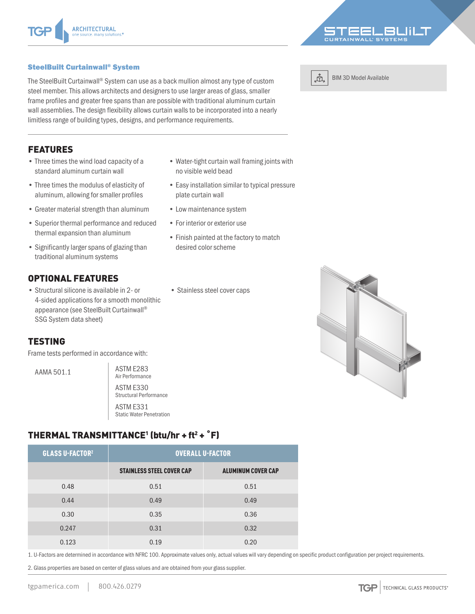#### SteelBuilt Curtainwall® System

The SteelBuilt Curtainwall® System can use as a back mullion almost any type of custom steel member. This allows architects and designers to use larger areas of glass, smaller frame profiles and greater free spans than are possible with traditional aluminum curtain wall assemblies. The design flexibility allows curtain walls to be incorporated into a nearly limitless range of building types, designs, and performance requirements.

# FEATURES

- Three times the wind load capacity of a standard aluminum curtain wall
- Three times the modulus of elasticity of aluminum, allowing for smaller profiles
- Greater material strength than aluminum
- Superior thermal performance and reduced thermal expansion than aluminum
- Significantly larger spans of glazing than traditional aluminum systems

# OPTIONAL FEATURES

• Structural silicone is available in 2- or 4-sided applications for a smooth monolithic appearance (see SteelBuilt Curtainwall® SSG System data sheet)

#### TESTING

Frame tests performed in accordance with:

AAMA 501.1 **ASTM E283** 

Air Performance ASTM E330 Structural Performance ASTM E331 Static Water Penetration

# THERMAL TRANSMITTANCE<sup>1</sup> (btu/hr + ft<sup>2</sup> + °F)

| <b>GLASS U-FACTOR2</b> | <b>OVERALL U-FACTOR</b>          |                           |  |
|------------------------|----------------------------------|---------------------------|--|
|                        | <b>STAINLESS STEEL COVER CAP</b> | <b>ALUMINUM COVER CAP</b> |  |
| 0.48                   | 0.51                             | 0.51                      |  |
| 0.44                   | 0.49                             | 0.49                      |  |
| 0.30                   | 0.35                             | 0.36                      |  |
| 0.247                  | 0.31                             | 0.32                      |  |
| 0.123                  | 0.19                             | 0.20                      |  |

1. U-Factors are determined in accordance with NFRC 100. Approximate values only, actual values will vary depending on specific product configuration per project requirements.

• Water-tight curtain wall framing joints with

• Easy installation similar to typical pressure

• Finish painted at the factory to match

no visible weld bead

plate curtain wall

• Low maintenance system • For interior or exterior use

desired color scheme

• Stainless steel cover caps

2. Glass properties are based on center of glass values and are obtained from your glass supplier.







BIM 3D Model Available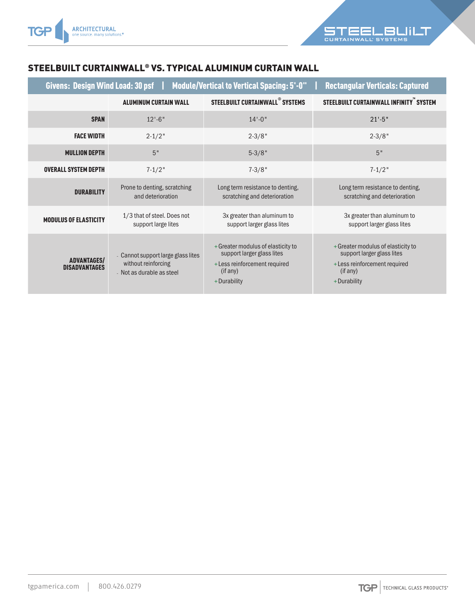

### STEELBUILT CURTAINWALL® VS. TYPICAL ALUMINUM CURTAIN WALL

| Givens: Design Wind Load: 30 psf<br><b>Module/Vertical to Vertical Spacing: 5'-0"</b><br><b>Rectangular Verticals: Captured</b> |                                                                                        |                                                                                                                              |                                                                                                                              |  |
|---------------------------------------------------------------------------------------------------------------------------------|----------------------------------------------------------------------------------------|------------------------------------------------------------------------------------------------------------------------------|------------------------------------------------------------------------------------------------------------------------------|--|
|                                                                                                                                 | <b>ALUMINUM CURTAIN WALL</b>                                                           | STEELBUILT CURTAINWALL <sup>®</sup> SYSTEMS                                                                                  | STEELBUILT CURTAINWALL INFINITY SYSTEM                                                                                       |  |
| <b>SPAN</b>                                                                                                                     | $12 - 6$ "                                                                             | $14 - 0$ "                                                                                                                   | $21' - 5"$                                                                                                                   |  |
| <b>FACE WIDTH</b>                                                                                                               | $2 - 1/2$ "                                                                            | $2 - 3/8"$                                                                                                                   | $2 - 3/8"$                                                                                                                   |  |
| <b>MULLION DEPTH</b>                                                                                                            | 5"                                                                                     | $5 - 3/8"$                                                                                                                   | 5"                                                                                                                           |  |
| <b>OVERALL SYSTEM DEPTH</b>                                                                                                     | $7 - 1/2$ "                                                                            | $7 - 3/8"$                                                                                                                   | $7 - 1/2$ "                                                                                                                  |  |
| <b>DURABILITY</b>                                                                                                               | Prone to denting, scratching<br>and deterioration                                      | Long term resistance to denting,<br>scratching and deterioration                                                             | Long term resistance to denting,<br>scratching and deterioration                                                             |  |
| <b>MODULUS OF ELASTICITY</b>                                                                                                    | 1/3 that of steel. Does not<br>support large lites                                     | 3x greater than aluminum to<br>support larger glass lites                                                                    | 3x greater than aluminum to<br>support larger glass lites                                                                    |  |
| <b>ADVANTAGES/</b><br><b>DISADVANTAGES</b>                                                                                      | - Cannot support large glass lites<br>without reinforcing<br>- Not as durable as steel | + Greater modulus of elasticity to<br>support larger glass lites<br>+ Less reinforcement required<br>(if any)<br>+Durability | + Greater modulus of elasticity to<br>support larger glass lites<br>+ Less reinforcement required<br>(if any)<br>+Durability |  |